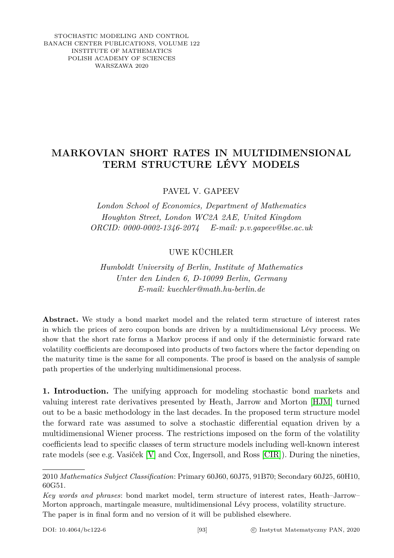STOCHASTIC MODELING AND CONTROL BANACH CENTER PUBLICATIONS, VOLUME 122 INSTITUTE OF MATHEMATICS POLISH ACADEMY OF SCIENCES WARSZAWA 2020

## **MARKOVIAN SHORT RATES IN MULTIDIMENSIONAL TERM STRUCTURE LÉVY MODELS**

PAVEL V. GAPEEV

*London School of Economics, Department of Mathematics Houghton Street, London WC2A 2AE, United Kingdom ORCID: 0000-0002-1346-2074 E-mail: p.v.gapeev@lse.ac.uk*

UWE KÜCHLER

*Humboldt University of Berlin, Institute of Mathematics Unter den Linden 6, D-10099 Berlin, Germany E-mail: kuechler@math.hu-berlin.de*

**Abstract.** We study a bond market model and the related term structure of interest rates in which the prices of zero coupon bonds are driven by a multidimensional Lévy process. We show that the short rate forms a Markov process if and only if the deterministic forward rate volatility coefficients are decomposed into products of two factors where the factor depending on the maturity time is the same for all components. The proof is based on the analysis of sample path properties of the underlying multidimensional process.

**1. Introduction.** The unifying approach for modeling stochastic bond markets and valuing interest rate derivatives presented by Heath, Jarrow and Morton [\[HJM\]](#page-12-0) turned out to be a basic methodology in the last decades. In the proposed term structure model the forward rate was assumed to solve a stochastic differential equation driven by a multidimensional Wiener process. The restrictions imposed on the form of the volatility coefficients lead to specific classes of term structure models including well-known interest rate models (see e.g. Vasiček [\[V\]](#page-13-0) and Cox, Ingersoll, and Ross [\[CIR\]](#page-12-1)). During the nineties,

<sup>2010</sup> *Mathematics Subject Classification*: Primary 60J60, 60J75, 91B70; Secondary 60J25, 60H10, 60G51.

*Key words and phrases*: bond market model, term structure of interest rates, Heath–Jarrow– Morton approach, martingale measure, multidimensional Lévy process, volatility structure. The paper is in final form and no version of it will be published elsewhere.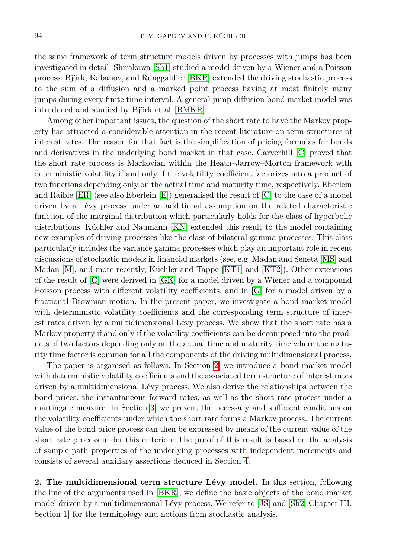the same framework of term structure models driven by processes with jumps has been investigated in detail. Shirakawa [\[Sh1\]](#page-13-1) studied a model driven by a Wiener and a Poisson process. Björk, Kabanov, and Runggaldier [\[BKR\]](#page-12-2) extended the driving stochastic process to the sum of a diffusion and a marked point process having at most finitely many jumps during every finite time interval. A general jump-diffusion bond market model was introduced and studied by Björk et al. [\[BMKR\]](#page-12-3).

Among other important issues, the question of the short rate to have the Markov property has attracted a considerable attention in the recent literature on term structures of interest rates. The reason for that fact is the simplification of pricing formulas for bonds and derivatives in the underlying bond market in that case. Carverhill [\[C\]](#page-12-4) proved that the short rate process is Markovian within the Heath–Jarrow–Morton framework with deterministic volatility if and only if the volatility coefficient factorizes into a product of two functions depending only on the actual time and maturity time, respectively. Eberlein and Raible [\[ER\]](#page-12-5) (see also Eberlein [\[E\]](#page-12-6)) generalised the result of [\[C\]](#page-12-4) to the case of a model driven by a Lévy process under an additional assumption on the related characteristic function of the marginal distribution which particularly holds for the class of hyperbolic distributions. Küchler and Naumann [\[KN\]](#page-13-2) extended this result to the model containing new examples of driving processes like the class of bilateral gamma processes. This class particularly includes the variance gamma processes which play an important role in recent discussions of stochastic models in financial markets (see, e.g. Madan and Seneta [\[MS\]](#page-13-3) and Madan [\[M\]](#page-13-4), and more recently, Küchler and Tappe [\[KT1\]](#page-13-5) and [\[KT2\]](#page-13-6)). Other extensions of the result of [\[C\]](#page-12-4) were derived in [\[GK\]](#page-12-7) for a model driven by a Wiener and a compound Poisson process with different volatility coefficients, and in [\[G\]](#page-12-8) for a model driven by a fractional Brownian motion. In the present paper, we investigate a bond market model with deterministic volatility coefficients and the corresponding term structure of interest rates driven by a multidimensional Lévy process. We show that the short rate has a Markov property if and only if the volatility coefficients can be decomposed into the products of two factors depending only on the actual time and maturity time where the maturity time factor is common for all the components of the driving multidimensional process.

The paper is organised as follows. In Section [2,](#page-1-0) we introduce a bond market model with deterministic volatility coefficients and the associated term structure of interest rates driven by a multidimensional Lévy process. We also derive the relationships between the bond prices, the instantaneous forward rates, as well as the short rate process under a martingale measure. In Section [3,](#page-4-0) we present the necessary and sufficient conditions on the volatility coefficients under which the short rate forms a Markov process. The current value of the bond price process can then be expressed by means of the current value of the short rate process under this criterion. The proof of this result is based on the analysis of sample path properties of the underlying processes with independent increments and consists of several auxiliary assertions deduced in Section [4.](#page-7-0)

<span id="page-1-0"></span>**2. The multidimensional term structure Lévy model.** In this section, following the line of the arguments used in [\[BKR\]](#page-12-2), we define the basic objects of the bond market model driven by a multidimensional Lévy process. We refer to [\[JS\]](#page-12-9) and [\[Sh2,](#page-13-7) Chapter III, Section 1 for the terminology and notions from stochastic analysis.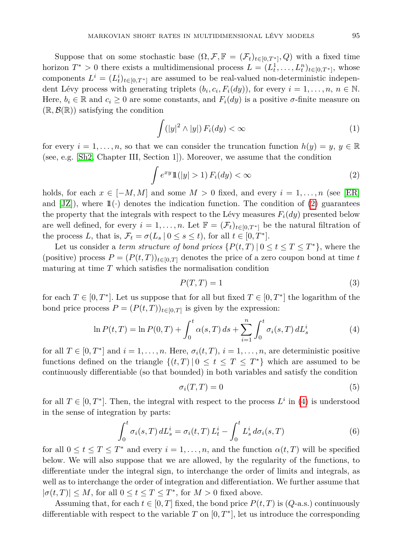Suppose that on some stochastic base  $(\Omega, \mathcal{F}, \mathbb{F} = (\mathcal{F}_t)_{t \in [0,T^*]}, Q)$  with a fixed time horizon  $T^* > 0$  there exists a multidimensional process  $L = (L_t^1, \ldots, L_t^n)_{t \in [0, T^*]}$ , whose components  $L^i = (L_t^i)_{t \in [0,T^*]}$  are assumed to be real-valued non-deterministic independent Lévy process with generating triplets  $(b_i, c_i, F_i(dy))$ , for every  $i = 1, \ldots, n, n \in \mathbb{N}$ . Here,  $b_i \in \mathbb{R}$  and  $c_i \geq 0$  are some constants, and  $F_i(dy)$  is a positive  $\sigma$ -finite measure on  $(\mathbb{R}, \mathcal{B}(\mathbb{R}))$  satisfying the condition

<span id="page-2-4"></span><span id="page-2-0"></span>
$$
\int (|y|^2 \wedge |y|) F_i(dy) < \infty \tag{1}
$$

for every  $i = 1, \ldots, n$ , so that we can consider the truncation function  $h(y) = y, y \in \mathbb{R}$ (see, e.g. [\[Sh2,](#page-13-7) Chapter III, Section 1]). Moreover, we assume that the condition

$$
\int e^{xy} 1\mathbf{1}(|y| > 1) F_i(dy) < \infty \tag{2}
$$

holds, for each  $x \in [-M, M]$  and some  $M > 0$  fixed, and every  $i = 1, \ldots, n$  (see [\[ER\]](#page-12-5) and  $[JZ]$ , where  $\mathbb{1}(\cdot)$  denotes the indication function. The condition of [\(2\)](#page-2-0) guarantees the property that the integrals with respect to the Lévy measures  $F_i(dy)$  presented below are well defined, for every  $i = 1, \ldots, n$ . Let  $\mathbb{F} = (\mathcal{F}_t)_{t \in [0, T^*]}$  be the natural filtration of the process *L*, that is,  $\mathcal{F}_t = \sigma(L_s \mid 0 \le s \le t)$ , for all  $t \in [0, T^*]$ .

Let us consider a *term structure of bond prices*  $\{P(t,T) | 0 \le t \le T \le T^*\}$ , where the (positive) process  $P = (P(t,T))_{t \in [0,T]}$  denotes the price of a zero coupon bond at time *t* maturing at time *T* which satisfies the normalisation condition

<span id="page-2-2"></span><span id="page-2-1"></span>
$$
P(T,T) = 1\tag{3}
$$

for each  $T \in [0, T^*]$ . Let us suppose that for all but fixed  $T \in [0, T^*]$  the logarithm of the bond price process  $P = (P(t,T))_{t \in [0,T]}$  is given by the expression:

$$
\ln P(t,T) = \ln P(0,T) + \int_0^t \alpha(s,T) \, ds + \sum_{i=1}^n \int_0^t \sigma_i(s,T) \, dL_s^i \tag{4}
$$

for all  $T \in [0, T^*]$  and  $i = 1, \ldots, n$ . Here,  $\sigma_i(t, T), i = 1, \ldots, n$ , are deterministic positive functions defined on the triangle  $\{(t,T) | 0 \le t \le T \le T^*\}$  which are assumed to be continuously differentiable (so that bounded) in both variables and satisfy the condition

<span id="page-2-3"></span>
$$
\sigma_i(T, T) = 0 \tag{5}
$$

for all  $T \in [0, T^*]$ . Then, the integral with respect to the process  $L^i$  in [\(4\)](#page-2-1) is understood in the sense of integration by parts:

$$
\int_0^t \sigma_i(s,T) dL_s^i = \sigma_i(t,T) L_t^i - \int_0^t L_s^i d\sigma_i(s,T)
$$
\n(6)

for all  $0 \le t \le T \le T^*$  and every  $i = 1, \ldots, n$ , and the function  $\alpha(t, T)$  will be specified below. We will also suppose that we are allowed, by the regularity of the functions, to differentiate under the integral sign, to interchange the order of limits and integrals, as well as to interchange the order of integration and differentiation. We further assume that  $|\sigma(t,T)| \leq M$ , for all  $0 \leq t \leq T \leq T^*$ , for  $M > 0$  fixed above.

Assuming that, for each  $t \in [0, T]$  fixed, the bond price  $P(t, T)$  is  $(Q$ -a.s.) continuously differentiable with respect to the variable  $T$  on  $[0, T^*]$ , let us introduce the corresponding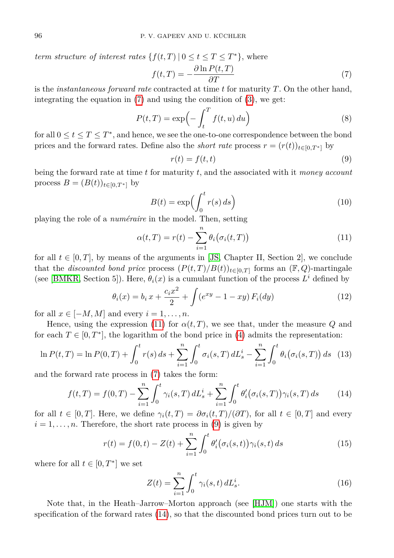*term structure of interest rates*  $\{f(t,T) | 0 \le t \le T \le T^*\}$ , where

<span id="page-3-0"></span>
$$
f(t,T) = -\frac{\partial \ln P(t,T)}{\partial T}
$$
\n(7)

is the *instantaneous forward rate* contracted at time *t* for maturity *T*. On the other hand, integrating the equation in  $(7)$  and using the condition of  $(3)$ , we get:

$$
P(t,T) = \exp\left(-\int_{t}^{T} f(t,u) du\right)
$$
\n(8)

for all  $0 \le t \le T \le T^*$ , and hence, we see the one-to-one correspondence between the bond prices and the forward rates. Define also the *short rate* process  $r = (r(t))_{t \in [0, T^*]}$  by

<span id="page-3-4"></span><span id="page-3-2"></span><span id="page-3-1"></span>
$$
r(t) = f(t, t) \tag{9}
$$

being the forward rate at time *t* for maturity *t*, and the associated with it *money account* process *B* =  $(B(t))_{t \in [0,T*]}$  by

<span id="page-3-5"></span>
$$
B(t) = \exp\left(\int_0^t r(s) \, ds\right) \tag{10}
$$

playing the role of a *numéraire* in the model. Then, setting

$$
\alpha(t,T) = r(t) - \sum_{i=1}^{n} \theta_i(\sigma_i(t,T))
$$
\n(11)

for all  $t \in [0, T]$ , by means of the arguments in [\[JS,](#page-12-9) Chapter II, Section 2], we conclude that the *discounted bond price* process  $(P(t, T)/B(t))_{t \in [0,T]}$  forms an  $(\mathbb{F}, Q)$ -martingale (see [\[BMKR,](#page-12-3) Section 5]). Here,  $\theta_i(x)$  is a cumulant function of the process  $L^i$  defined by

$$
\theta_i(x) = b_i x + \frac{c_i x^2}{2} + \int (e^{xy} - 1 - xy) F_i(dy)
$$
\n(12)

for all  $x \in [-M, M]$  and every  $i = 1, \ldots, n$ .

Hence, using the expression [\(11\)](#page-3-1) for  $\alpha(t, T)$ , we see that, under the measure *Q* and for each  $T \in [0, T^*]$ , the logarithm of the bond price in [\(4\)](#page-2-1) admits the representation:

$$
\ln P(t,T) = \ln P(0,T) + \int_0^t r(s) \, ds + \sum_{i=1}^n \int_0^t \sigma_i(s,T) \, dL_s^i - \sum_{i=1}^n \int_0^t \theta_i(\sigma_i(s,T)) \, ds \tag{13}
$$

and the forward rate process in [\(7\)](#page-3-0) takes the form:

$$
f(t,T) = f(0,T) - \sum_{i=1}^{n} \int_{0}^{t} \gamma_i(s,T) dL_s^i + \sum_{i=1}^{n} \int_{0}^{t} \theta'_i(\sigma_i(s,T)) \gamma_i(s,T) ds \qquad (14)
$$

for all  $t \in [0, T]$ . Here, we define  $\gamma_i(t, T) = \partial \sigma_i(t, T)/(\partial T)$ , for all  $t \in [0, T]$  and every  $i = 1, \ldots, n$ . Therefore, the short rate process in [\(9\)](#page-3-2) is given by

$$
r(t) = f(0, t) - Z(t) + \sum_{i=1}^{n} \int_{0}^{t} \theta'_{i}(\sigma_{i}(s, t)) \gamma_{i}(s, t) ds
$$
\n(15)

where for all  $t \in [0, T^*]$  we set

<span id="page-3-7"></span><span id="page-3-6"></span><span id="page-3-3"></span>
$$
Z(t) = \sum_{i=1}^{n} \int_{0}^{t} \gamma_i(s, t) dL_s^i.
$$
 (16)

Note that, in the Heath–Jarrow–Morton approach (see [\[HJM\]](#page-12-0)) one starts with the specification of the forward rates [\(14\)](#page-3-3), so that the discounted bond prices turn out to be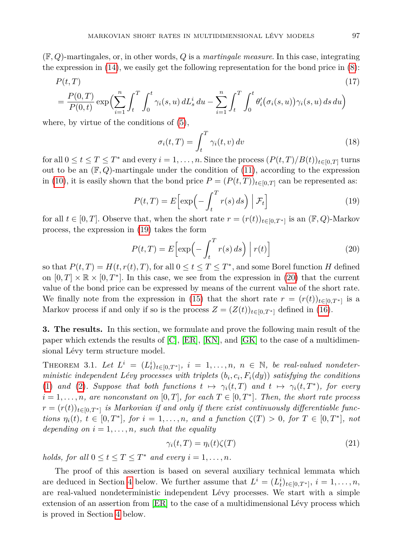(F*, Q*)-martingales, or, in other words, *Q* is a *martingale measure*. In this case, integrating the expression in  $(14)$ , we easily get the following representation for the bond price in  $(8)$ :

$$
P(t,T) \tag{17}
$$
\n
$$
= \frac{P(0,T)}{P} \exp\left(\sum_{i=1}^{n} \int_{-\infty}^{T} \int_{-\infty}^{t} (s, u) dL_{\infty}^{i} du - \sum_{i=1}^{n} \int_{-\infty}^{T} \int_{-\infty}^{t} \theta_{i}'(\sigma_{i}(s, u)) \gamma_{i}(s, u) ds du\right)
$$

$$
= \frac{P(0,T)}{P(0,t)} \exp\Bigl(\sum_{i=1}^n \int_t^T \int_0^t \gamma_i(s,u) dL_s^i du - \sum_{i=1}^n \int_t^T \int_0^t \theta_i'(\sigma_i(s,u)) \gamma_i(s,u) ds du\Bigr)
$$

where, by virtue of the conditions of [\(5\)](#page-2-3),

<span id="page-4-6"></span><span id="page-4-1"></span>
$$
\sigma_i(t,T) = \int_t^T \gamma_i(t,v) \, dv \tag{18}
$$

for all  $0 \le t \le T \le T^*$  and every  $i = 1, \ldots, n$ . Since the process  $(P(t, T)/B(t))_{t \in [0, T]}$  turns out to be an  $(\mathbb{F}, Q)$ -martingale under the condition of [\(11\)](#page-3-1), according to the expression in [\(10\)](#page-3-5), it is easily shown that the bond price  $P = (P(t, T))_{t \in [0,T]}$  can be represented as:

$$
P(t,T) = E\left[\exp\left(-\int_t^T r(s) \, ds\right) \Big| \, \mathcal{F}_t\right] \tag{19}
$$

for all  $t \in [0, T]$ . Observe that, when the short rate  $r = (r(t))_{t \in [0, T^*]}$  is an  $(\mathbb{F}, Q)$ -Markov process, the expression in [\(19\)](#page-4-1) takes the form

<span id="page-4-2"></span>
$$
P(t,T) = E\left[\exp\left(-\int_{t}^{T} r(s) \, ds\right) \mid r(t)\right] \tag{20}
$$

so that  $P(t,T) = H(t, r(t), T)$ , for all  $0 \le t \le T \le T^*$ , and some Borel function *H* defined on  $[0, T] \times \mathbb{R} \times [0, T^*]$ . In this case, we see from the expression in [\(20\)](#page-4-2) that the current value of the bond price can be expressed by means of the current value of the short rate. We finally note from the expression in [\(15\)](#page-3-6) that the short rate  $r = (r(t))_{t \in [0,T^*]}$  is a Markov process if and only if so is the process  $Z = (Z(t))_{t \in [0,T^*]}$  defined in [\(16\)](#page-3-7).

<span id="page-4-0"></span>**3. The results.** In this section, we formulate and prove the following main result of the paper which extends the results of [\[C\]](#page-12-4), [\[ER\]](#page-12-5), [\[KN\]](#page-13-2), and [\[GK\]](#page-12-7) to the case of a multidimensional Lévy term structure model.

<span id="page-4-3"></span>THEOREM 3.1. Let  $L^i = (L^i_t)_{t \in [0,T^*]}$ ,  $i = 1,\ldots,n$ ,  $n \in \mathbb{N}$ , be real-valued nondeter*ministic independent Lévy processes with triplets*  $(b_i, c_i, F_i(dy))$  *satisfying the conditions* [\(1\)](#page-2-4) and [\(2\)](#page-2-0)*. Suppose that both functions*  $t \mapsto \gamma_i(t,T)$  and  $t \mapsto \gamma_i(t,T^*)$ , for every  $i = 1, \ldots, n$ *, are nonconstant on* [0*,T*]*, for each*  $T \in [0, T^*]$ *. Then, the short rate process*  $r = (r(t))_{t \in [0,T^*]}$  is Markovian if and only if there exist continuously differentiable func*tions*  $\eta_i(t)$ ,  $t \in [0, T^*]$ , for  $i = 1, ..., n$ , and a function  $\zeta(T) > 0$ , for  $T \in [0, T^*]$ , not *depending on*  $i = 1, \ldots, n$ *, such that the equality* 

<span id="page-4-4"></span>
$$
\gamma_i(t, T) = \eta_i(t)\zeta(T) \tag{21}
$$

*holds, for all*  $0 \le t \le T \le T^*$  *and every*  $i = 1, \ldots, n$ *.* 

<span id="page-4-5"></span>The proof of this assertion is based on several auxiliary technical lemmata which are deduced in Section [4](#page-7-0) below. We further assume that  $L^i = (L_t^i)_{t \in [0,T^*]}$ ,  $i = 1, \ldots, n$ , are real-valued nondeterministic independent Lévy processes. We start with a simple extension of an assertion from [\[ER\]](#page-12-5) to the case of a multidimensional Lévy process which is proved in Section [4](#page-7-0) below.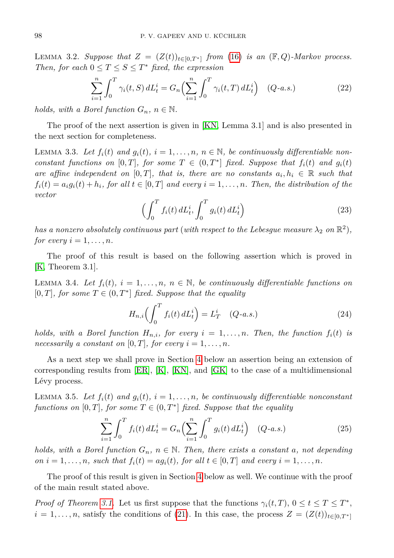LEMMA 3.2. *Suppose that*  $Z = (Z(t))_{t \in [0,T^*]}$  *from* [\(16\)](#page-3-7) *is an* ( $\mathbb{F}, Q$ )*-Markov process. Then, for each*  $0 \le T \le S \le T^*$  *fixed, the expression* 

<span id="page-5-0"></span>
$$
\sum_{i=1}^{n} \int_{0}^{T} \gamma_{i}(t, S) dL_{t}^{i} = G_{n} \Biggl( \sum_{i=1}^{n} \int_{0}^{T} \gamma_{i}(t, T) dL_{t}^{i} \Biggr) \quad (Q-a.s.)
$$
 (22)

*holds, with a Borel function*  $G_n$ ,  $n \in \mathbb{N}$ .

The proof of the next assertion is given in [\[KN,](#page-13-2) Lemma 3.1] and is also presented in the next section for completeness.

<span id="page-5-3"></span><span id="page-5-2"></span>LEMMA 3.3. Let  $f_i(t)$  and  $g_i(t)$ ,  $i = 1, \ldots, n$ ,  $n \in \mathbb{N}$ , be continuously differentiable non*constant functions on*  $[0, T]$ *, for some*  $T \in (0, T^*]$  *fixed. Suppose that*  $f_i(t)$  *and*  $g_i(t)$ *are affine independent on* [0, T], that is, there are no constants  $a_i, h_i \in \mathbb{R}$  such that  $f_i(t) = a_i g_i(t) + h_i$ , for all  $t \in [0, T]$  and every  $i = 1, \ldots, n$ . Then, the distribution of the *vector*

$$
\left(\int_0^T f_i(t) dL_t^i, \int_0^T g_i(t) dL_t^i\right) \tag{23}
$$

*has a nonzero absolutely continuous part (with respect to the Lebesgue measure*  $\lambda_2$  *on*  $\mathbb{R}^2$ ), *for every*  $i = 1, \ldots, n$ *.* 

The proof of this result is based on the following assertion which is proved in [\[K,](#page-13-8) Theorem 3.1].

<span id="page-5-5"></span>LEMMA 3.4. Let  $f_i(t)$ ,  $i = 1, \ldots, n$ ,  $n \in \mathbb{N}$ , be continuously differentiable functions on  $[0, T]$ *, for some*  $T \in (0, T^*]$  *fixed. Suppose that the equality* 

<span id="page-5-4"></span>
$$
H_{n,i}\left(\int_{0}^{T} f_{i}(t) dL_{t}^{i}\right) = L_{T}^{i} \quad (Q-a.s.)
$$
\n(24)

*holds, with a Borel function*  $H_{n,i}$ *, for every*  $i = 1, \ldots, n$ *. Then, the function*  $f_i(t)$  *is necessarily a constant on* [0, T], for every  $i = 1, \ldots, n$ .

As a next step we shall prove in Section [4](#page-7-0) below an assertion being an extension of corresponding results from [\[ER\]](#page-12-5), [\[K\]](#page-13-8), [\[KN\]](#page-13-2), and [\[GK\]](#page-12-7) to the case of a multidimensional Lévy process.

<span id="page-5-1"></span>LEMMA 3.5. Let  $f_i(t)$  and  $g_i(t)$ ,  $i = 1, \ldots, n$ , be continuously differentiable nonconstant *functions on* [0, *T*]*, for some*  $T \in (0, T^*]$  *fixed. Suppose that the equality* 

$$
\sum_{i=1}^{n} \int_{0}^{T} f_{i}(t) dL_{t}^{i} = G_{n} \left( \sum_{i=1}^{n} \int_{0}^{T} g_{i}(t) dL_{t}^{i} \right) \quad (Q-a.s.)
$$
\n(25)

*holds, with a Borel function*  $G_n$ ,  $n \in \mathbb{N}$ *. Then, there exists a constant a, not depending on*  $i = 1, \ldots, n$ *, such that*  $f_i(t) = ag_i(t)$ *, for all*  $t \in [0, T]$  *and every*  $i = 1, \ldots, n$ *.* 

The proof of this result is given in Section [4](#page-7-0) below as well. We continue with the proof of the main result stated above.

*Proof of Theorem [3.1.](#page-4-3)* Let us first suppose that the functions  $\gamma_i(t,T)$ ,  $0 \le t \le T \le T^*$ ,  $i = 1, \ldots, n$ , satisfy the conditions of [\(21\)](#page-4-4). In this case, the process  $Z = (Z(t))_{t \in [0,T^*]}$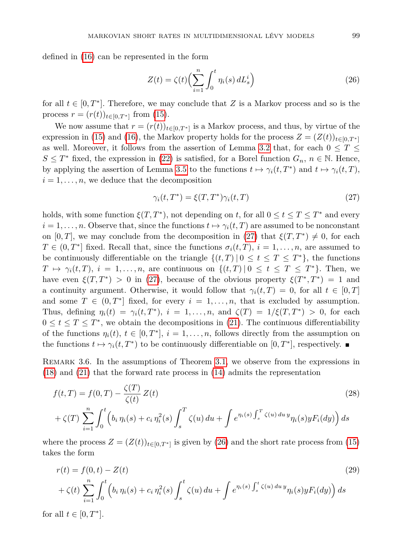defined in [\(16\)](#page-3-7) can be represented in the form

<span id="page-6-1"></span>
$$
Z(t) = \zeta(t) \left(\sum_{i=1}^{n} \int_{0}^{t} \eta_i(s) dL_s^i\right)
$$
\n(26)

for all  $t \in [0, T^*]$ . Therefore, we may conclude that *Z* is a Markov process and so is the process  $r = (r(t))_{t \in [0,T^*]}$  from [\(15\)](#page-3-6).

We now assume that  $r = (r(t))_{t \in [0,T^*]}$  is a Markov process, and thus, by virtue of the expression in [\(15\)](#page-3-6) and [\(16\)](#page-3-7), the Markov property holds for the process  $Z = (Z(t))_{t \in [0,T^*]}$ as well. Moreover, it follows from the assertion of Lemma [3.2](#page-4-5) that, for each  $0 \leq T \leq$  $S \leq T^*$  fixed, the expression in [\(22\)](#page-5-0) is satisfied, for a Borel function  $G_n$ ,  $n \in \mathbb{N}$ . Hence, by applying the assertion of Lemma [3.5](#page-5-1) to the functions  $t \mapsto \gamma_i(t, T^*)$  and  $t \mapsto \gamma_i(t, T)$ ,  $i = 1, \ldots, n$ , we deduce that the decomposition

<span id="page-6-2"></span><span id="page-6-0"></span>
$$
\gamma_i(t, T^*) = \xi(T, T^*)\gamma_i(t, T) \tag{27}
$$

holds, with some function  $\xi(T, T^*)$ , not depending on *t*, for all  $0 \le t \le T \le T^*$  and every  $i = 1, \ldots, n$ . Observe that, since the functions  $t \mapsto \gamma_i(t,T)$  are assumed to be nonconstant on [0, T], we may conclude from the decomposition in [\(27\)](#page-6-0) that  $\xi(T, T^*) \neq 0$ , for each  $T \in (0, T^*]$  fixed. Recall that, since the functions  $\sigma_i(t, T)$ ,  $i = 1, \ldots, n$ , are assumed to be continuously differentiable on the triangle  $\{(t,T) | 0 \le t \le T \le T^*\}$ , the functions  $T \mapsto \gamma_i(t,T)$ ,  $i = 1, \ldots, n$ , are continuous on  $\{(t,T) | 0 \le t \le T \le T^*\}$ . Then, we have even  $\xi(T, T^*) > 0$  in [\(27\)](#page-6-0), because of the obvious property  $\xi(T^*, T^*) = 1$  and a continuity argument. Otherwise, it would follow that  $\gamma_i(t,T) = 0$ , for all  $t \in [0,T]$ and some  $T \in (0, T^*]$  fixed, for every  $i = 1, \ldots, n$ , that is excluded by assumption. Thus, defining  $\eta_i(t) = \gamma_i(t, T^*)$ ,  $i = 1, \ldots, n$ , and  $\zeta(T) = 1/\xi(T, T^*) > 0$ , for each  $0 \leq t \leq T \leq T^*$ , we obtain the decompositions in [\(21\)](#page-4-4). The continuous differentiability of the functions  $\eta_i(t)$ ,  $t \in [0, T^*]$ ,  $i = 1, \ldots, n$ , follows directly from the assumption on the functions  $t \mapsto \gamma_i(t, T^*)$  to be continuously differentiable on  $[0, T^*]$ , respectively.

REMARK 3.6. In the assumptions of Theorem [3.1,](#page-4-3) we observe from the expressions in [\(18\)](#page-4-6) and [\(21\)](#page-4-4) that the forward rate process in [\(14\)](#page-3-3) admits the representation

$$
f(t,T) = f(0,T) - \frac{\zeta(T)}{\zeta(t)} Z(t)
$$
\n
$$
+ \zeta(T) \sum_{i=1}^{n} \int_{0}^{t} \left( b_{i} \eta_{i}(s) + c_{i} \eta_{i}^{2}(s) \int_{s}^{T} \zeta(u) du + \int e^{\eta_{i}(s) \int_{s}^{T} \zeta(u) du y} \eta_{i}(s) y F_{i}(dy) \right) ds
$$
\n(28)

where the process  $Z = (Z(t))_{t \in [0,T^*]}$  is given by [\(26\)](#page-6-1) and the short rate process from [\(15\)](#page-3-6) takes the form

<span id="page-6-3"></span>
$$
r(t) = f(0, t) - Z(t)
$$
\n
$$
+ \zeta(t) \sum_{i=1}^{n} \int_{0}^{t} \left( b_{i} \eta_{i}(s) + c_{i} \eta_{i}^{2}(s) \int_{s}^{t} \zeta(u) du + \int e^{\eta_{i}(s) \int_{s}^{t} \zeta(u) du y} \eta_{i}(s) y F_{i}(dy) \right) ds
$$
\n
$$
= \sum_{i=1}^{n} \sum_{j=1}^{n} \left( b_{i} \eta_{j}(s) + c_{i} \eta_{i}^{2}(s) \int_{s}^{t} \zeta(u) du + \int e^{\eta_{i}(s) \int_{s}^{t} \zeta(u) du y} \eta_{i}(s) y F_{i}(dy) \right) ds
$$
\n
$$
(29)
$$

for all  $t \in [0, T^*]$ .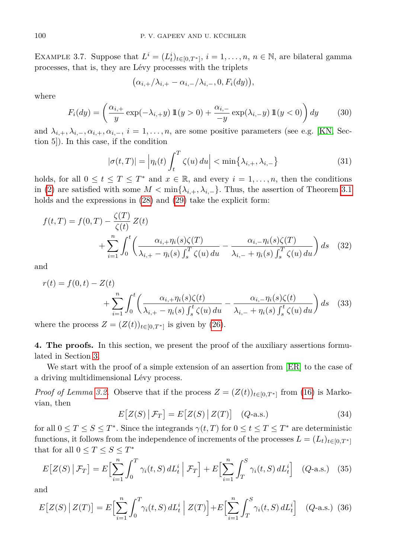EXAMPLE 3.7. Suppose that  $L^i = (L_t^i)_{t \in [0,T^*]}$ ,  $i = 1, \ldots, n, n \in \mathbb{N}$ , are bilateral gamma processes, that is, they are Lévy processes with the triplets

$$
(\alpha_{i,+}/\lambda_{i,+}-\alpha_{i,-}/\lambda_{i,-},0,F_i(dy)),
$$

where

$$
F_i(dy) = \left(\frac{\alpha_{i,+}}{y} \exp(-\lambda_{i,+}y) \mathbb{1}(y>0) + \frac{\alpha_{i,-}}{-y} \exp(\lambda_{i,-}y) \mathbb{1}(y<0)\right) dy \tag{30}
$$

and  $\lambda_{i,+}, \lambda_{i,-}, \alpha_{i,+}, \alpha_{i,-}, i = 1, \ldots, n$ , are some positive parameters (see e.g. [\[KN,](#page-13-2) Section 5]). In this case, if the condition

$$
|\sigma(t,T)| = \left|\eta_i(t)\int_t^T \zeta(u) \, du\right| < \min\{\lambda_{i,+}, \lambda_{i,-}\}\tag{31}
$$

holds, for all  $0 \le t \le T \le T^*$  and  $x \in \mathbb{R}$ , and every  $i = 1, \ldots, n$ , then the conditions in [\(2\)](#page-2-0) are satisfied with some  $M < \min\{\lambda_{i,+}, \lambda_{i,-}\}\$ . Thus, the assertion of Theorem [3.1](#page-4-3) holds and the expressions in [\(28\)](#page-6-2) and [\(29\)](#page-6-3) take the explicit form:

$$
f(t,T) = f(0,T) - \frac{\zeta(T)}{\zeta(t)} Z(t) + \sum_{i=1}^{n} \int_{0}^{t} \left( \frac{\alpha_{i,+} \eta_{i}(s) \zeta(T)}{\lambda_{i,+} - \eta_{i}(s) \int_{s}^{T} \zeta(u) du} - \frac{\alpha_{i,-} \eta_{i}(s) \zeta(T)}{\lambda_{i,-} + \eta_{i}(s) \int_{s}^{T} \zeta(u) du} \right) ds
$$
(32)

and

$$
r(t) = f(0, t) - Z(t)
$$
  
+ 
$$
\sum_{i=1}^{n} \int_{0}^{t} \left( \frac{\alpha_{i,+} \eta_{i}(s) \zeta(t)}{\lambda_{i,+} - \eta_{i}(s) \int_{s}^{t} \zeta(u) du} - \frac{\alpha_{i,-} \eta_{i}(s) \zeta(t)}{\lambda_{i,-} + \eta_{i}(s) \int_{s}^{t} \zeta(u) du} \right) ds
$$
(33)

where the process  $Z = (Z(t))_{t \in [0,T^*]}$  is given by [\(26\)](#page-6-1).

<span id="page-7-0"></span>**4. The proofs.** In this section, we present the proof of the auxiliary assertions formulated in Section [3.](#page-4-0)

We start with the proof of a simple extension of an assertion from [\[ER\]](#page-12-5) to the case of a driving multidimensional Lévy process.

<span id="page-7-1"></span>*Proof of Lemma [3.2.](#page-4-5)* Observe that if the process  $Z = (Z(t))_{t \in [0,T^*]}$  from [\(16\)](#page-3-7) is Markovian, then

$$
E[Z(S) | \mathcal{F}_T] = E[Z(S) | Z(T)] \quad (Q\text{-a.s.})
$$
\n(34)

for all  $0 \le T \le S \le T^*$ . Since the integrands  $\gamma(t,T)$  for  $0 \le t \le T \le T^*$  are deterministic functions, it follows from the independence of increments of the processes  $L = (L_t)_{t \in [0,T^*]}$ that for all  $0 \le T \le S \le T^*$ 

$$
E[Z(S) | \mathcal{F}_T] = E\Big[\sum_{i=1}^n \int_0^T \gamma_i(t, S) dL_t^i | \mathcal{F}_T\Big] + E\Big[\sum_{i=1}^n \int_T^S \gamma_i(t, S) dL_t^i\Big] \quad (Q\text{-a.s.}) \quad (35)
$$

<span id="page-7-2"></span>and

$$
E[Z(S) | Z(T)] = E\Big[\sum_{i=1}^{n} \int_{0}^{T} \gamma_i(t, S) dL_t^i | Z(T)\Big] + E\Big[\sum_{i=1}^{n} \int_{T}^{S} \gamma_i(t, S) dL_t^i\Big] \quad (Q\text{-a.s.}) \tag{36}
$$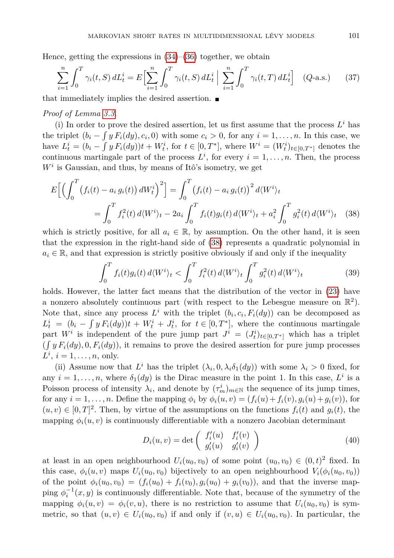Hence, getting the expressions in  $(34)$ – $(36)$  together, we obtain

$$
\sum_{i=1}^{n} \int_{0}^{T} \gamma_{i}(t, S) dL_{t}^{i} = E \Big[ \sum_{i=1}^{n} \int_{0}^{T} \gamma_{i}(t, S) dL_{t}^{i} \Big| \sum_{i=1}^{n} \int_{0}^{T} \gamma_{i}(t, T) dL_{t}^{i} \Big] (Q\text{-a.s.}) \tag{37}
$$

that immediately implies the desired assertion.  $\blacksquare$ 

## *Proof of Lemma [3.3.](#page-5-2)*

(i) In order to prove the desired assertion, let us first assume that the process  $L^i$  has the triplet  $(b_i - \int y F_i(dy), c_i, 0)$  with some  $c_i > 0$ , for any  $i = 1, \ldots, n$ . In this case, we have  $L_t^i = (b_i - \int y F_i(dy))t + W_t^i$ , for  $t \in [0, T^*]$ , where  $W^i = (W_t^i)_{t \in [0, T^*]}$  denotes the continuous martingale part of the process  $L^i$ , for every  $i = 1, \ldots, n$ . Then, the process  $W<sup>i</sup>$  is Gaussian, and thus, by means of Itô's isometry, we get

$$
E\Big[\Big(\int_0^T \big(f_i(t) - a_i g_i(t)\big) dW_t^i\Big)^2\Big] = \int_0^T \big(f_i(t) - a_i g_i(t)\big)^2 d\langle W^i \rangle_t
$$
  
= 
$$
\int_0^T f_i^2(t) d\langle W^i \rangle_t - 2a_i \int_0^T f_i(t) g_i(t) d\langle W^i \rangle_t + a_i^2 \int_0^T g_i^2(t) d\langle W^i \rangle_t \tag{38}
$$

which is strictly positive, for all  $a_i \in \mathbb{R}$ , by assumption. On the other hand, it is seen that the expression in the right-hand side of [\(38\)](#page-8-0) represents a quadratic polynomial in  $a_i \in \mathbb{R}$ , and that expression is strictly positive obviously if and only if the inequality

<span id="page-8-0"></span>
$$
\int_0^T f_i(t)g_i(t) d\langle W^i \rangle_t < \int_0^T f_i^2(t) d\langle W^i \rangle_t \int_0^T g_i^2(t) d\langle W^i \rangle_t \tag{39}
$$

holds. However, the latter fact means that the distribution of the vector in  $(23)$  have a nonzero absolutely continuous part (with respect to the Lebesgue measure on  $\mathbb{R}^2$ ). Note that, since any process  $L^i$  with the triplet  $(b_i, c_i, F_i(dy))$  can be decomposed as  $L_t^i = (b_i - \int y F_i(dy))t + W_t^i + J_t^i$ , for  $t \in [0, T^*]$ , where the continuous martingale part  $W^i$  is independent of the pure jump part  $J^i = (J_t^i)_{t \in [0,T^*]}$  which has a triplet  $(\int y F_i(dy), 0, F_i(dy))$ , it remains to prove the desired assertion for pure jump processes  $L^i$ ,  $i = 1, \ldots, n$ , only.

(ii) Assume now that  $L^i$  has the triplet  $(\lambda_i, 0, \lambda_i \delta_1(dy))$  with some  $\lambda_i > 0$  fixed, for any  $i = 1, \ldots, n$ , where  $\delta_1(dy)$  is the Dirac measure in the point 1. In this case,  $L^i$  is a Poisson process of intensity  $\lambda_i$ , and denote by  $(\tau_m^i)_{m \in \mathbb{N}}$  the sequence of its jump times, for any  $i = 1, ..., n$ . Define the mapping  $\phi_i$  by  $\phi_i(u, v) = (f_i(u) + f_i(v), g_i(u) + g_i(v)),$  for  $(u, v) \in [0, T]^2$ . Then, by virtue of the assumptions on the functions  $f_i(t)$  and  $g_i(t)$ , the mapping  $\phi_i(u, v)$  is continuously differentiable with a nonzero Jacobian determinant

$$
D_i(u, v) = \det \begin{pmatrix} f'_i(u) & f'_i(v) \\ g'_i(u) & g'_i(v) \end{pmatrix}
$$
 (40)

at least in an open neighbourhood  $U_i(u_0, v_0)$  of some point  $(u_0, v_0) \in (0, t)^2$  fixed. In this case,  $\phi_i(u, v)$  maps  $U_i(u_0, v_0)$  bijectively to an open neighbourhood  $V_i(\phi_i(u_0, v_0))$ of the point  $\phi_i(u_0, v_0) = (f_i(u_0) + f_i(v_0), g_i(u_0) + g_i(v_0))$ , and that the inverse mapping  $\phi_i^{-1}(x, y)$  is continuously differentiable. Note that, because of the symmetry of the mapping  $\phi_i(u, v) = \phi_i(v, u)$ , there is no restriction to assume that  $U_i(u_0, v_0)$  is symmetric, so that  $(u, v) \in U_i(u_0, v_0)$  if and only if  $(v, u) \in U_i(u_0, v_0)$ . In particular, the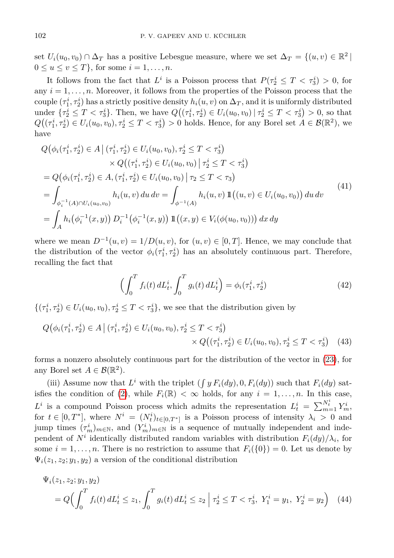set  $U_i(u_0, v_0) \cap \Delta_T$  has a positive Lebesgue measure, where we set  $\Delta_T = \{(u, v) \in \mathbb{R}^2 \mid \Delta_T = 0\}$  $0 \le u \le v \le T$ , for some  $i = 1, \ldots, n$ .

It follows from the fact that  $L^i$  is a Poisson process that  $P(\tau_2^i \leq T < \tau_3^i) > 0$ , for any  $i = 1, \ldots, n$ . Moreover, it follows from the properties of the Poisson process that the  $\text{couple } (\tau_1^i, \tau_2^i)$  has a strictly positive density  $h_i(u, v)$  on  $\Delta_T$ , and it is uniformly distributed under  $\{\tau_2^i \leq T < \tau_3^i\}$ . Then, we have  $Q((\tau_1^i, \tau_2^i) \in U_i(u_0, v_0) | \tau_2^i \leq T < \tau_3^i) > 0$ , so that  $Q((\tau_1^i, \tau_2^i) \in U_i(u_0, v_0), \tau_2^i \leq T < \tau_3^i) > 0$  holds. Hence, for any Borel set  $A \in \mathcal{B}(\mathbb{R}^2)$ , we have

$$
Q(\phi_i(\tau_1^i, \tau_2^i) \in A | (\tau_1^i, \tau_2^i) \in U_i(u_0, v_0), \tau_2^i \le T < \tau_3^i)
$$
  
\n
$$
\times Q((\tau_1^i, \tau_2^i) \in U_i(u_0, v_0) | \tau_2^i \le T < \tau_3^i)
$$
  
\n
$$
= Q(\phi_i(\tau_1^i, \tau_2^i) \in A, (\tau_1^i, \tau_2^i) \in U_i(u_0, v_0) | \tau_2 \le T < \tau_3)
$$
  
\n
$$
= \int_{\phi_i^{-1}(A) \cap U_i(u_0, v_0)} h_i(u, v) du dv = \int_{\phi^{-1}(A)} h_i(u, v) \mathbb{1}((u, v) \in U_i(u_0, v_0)) du dv
$$
  
\n
$$
= \int_A h_i(\phi_i^{-1}(x, y)) D_i^{-1}(\phi_i^{-1}(x, y)) \mathbb{1}((x, y) \in V_i(\phi(u_0, v_0))) dx dy
$$
\n(41)

where we mean  $D^{-1}(u, v) = 1/D(u, v)$ , for  $(u, v) \in [0, T]$ . Hence, we may conclude that the distribution of the vector  $\phi_i(\tau_1^i, \tau_2^i)$  has an absolutely continuous part. Therefore, recalling the fact that

$$
\left(\int_{0}^{T} f_{i}(t) dL_{t}^{i}, \int_{0}^{T} g_{i}(t) dL_{t}^{i}\right) = \phi_{i}(\tau_{1}^{i}, \tau_{2}^{i})
$$
\n(42)

 $\{(\tau_1^i, \tau_2^i) \in U_i(u_0, v_0), \tau_2^i \leq T < \tau_3^i\}$ , we see that the distribution given by

$$
Q(\phi_i(\tau_1^i, \tau_2^i) \in A \mid (\tau_1^i, \tau_2^i) \in U_i(u_0, v_0), \tau_2^i \le T < \tau_3^i) \\
\times Q((\tau_1^i, \tau_2^i) \in U_i(u_0, v_0), \tau_2^i \le T < \tau_3^i) \tag{43}
$$

forms a nonzero absolutely continuous part for the distribution of the vector in [\(23\)](#page-5-3), for any Borel set  $A \in \mathcal{B}(\mathbb{R}^2)$ .

(iii) Assume now that  $L^i$  with the triplet  $(\int y F_i(dy), 0, F_i(dy))$  such that  $F_i(dy)$  sat-isfies the condition of [\(2\)](#page-2-0), while  $F_i(\mathbb{R}) < \infty$  holds, for any  $i = 1, \ldots, n$ . In this case,  $L^i$  is a compound Poisson process which admits the representation  $L^i_t = \sum_{m=1}^{N^i_t} Y^i_m$ for  $t \in [0, T^*]$ , where  $N^i = (N^i_t)_{t \in [0, T^*]}$  is a Poisson process of intensity  $\lambda_i > 0$  and jump times  $(\tau_m^i)_{m \in \mathbb{N}}$ , and  $(Y_m^i)_{m \in \mathbb{N}}$  is a sequence of mutually independent and independent of  $N^i$  identically distributed random variables with distribution  $F_i(dy)/\lambda_i$ , for some  $i = 1, \ldots, n$ . There is no restriction to assume that  $F_i({0}) = 0$ . Let us denote by  $\Psi_i(z_1, z_2; y_1, y_2)$  a version of the conditional distribution

$$
\Psi_i(z_1, z_2; y_1, y_2) = Q \Big( \int_0^T f_i(t) dL_t^i \le z_1, \int_0^T g_i(t) dL_t^i \le z_2 \Big| \tau_2^i \le T < \tau_3^i, \ Y_1^i = y_1, \ Y_2^i = y_2 \Big) \tag{44}
$$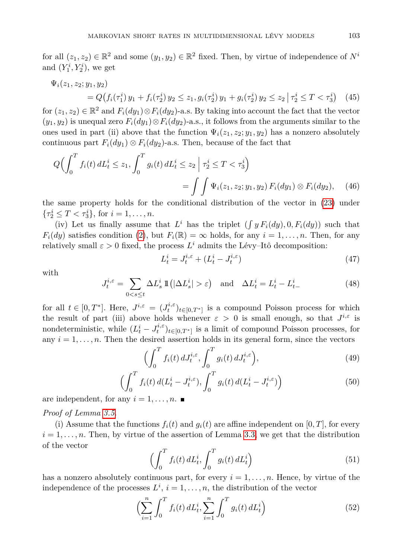for all  $(z_1, z_2) \in \mathbb{R}^2$  and some  $(y_1, y_2) \in \mathbb{R}^2$  fixed. Then, by virtue of independence of  $N^i$ and  $(Y_1^i, Y_2^i)$ , we get

$$
\Psi_i(z_1, z_2; y_1, y_2) = Q(f_i(\tau_1^i) y_1 + f_i(\tau_2^i) y_2 \le z_1, g_i(\tau_2^i) y_1 + g_i(\tau_2^i) y_2 \le z_2 | \tau_2^i \le T < \tau_3^i) \tag{45}
$$

for  $(z_1, z_2) \in \mathbb{R}^2$  and  $F_i(dy_1) \otimes F_i(dy_2)$ -a.s. By taking into account the fact that the vector  $(y_1, y_2)$  is unequal zero  $F_i(dy_1) \otimes F_i(dy_2)$ -a.s., it follows from the arguments similar to the ones used in part (ii) above that the function  $\Psi_i(z_1, z_2; y_1, y_2)$  has a nonzero absolutely continuous part  $F_i(dy_1) \otimes F_i(dy_2)$ -a.s. Then, because of the fact that

$$
Q\Big(\int_0^T f_i(t) dL_t^i \le z_1, \int_0^T g_i(t) dL_t^i \le z_2 \mid \tau_2^i \le T < \tau_3^i\Big) = \int \int \Psi_i(z_1, z_2; y_1, y_2) F_i(dy_1) \otimes F_i(dy_2), \quad (46)
$$

the same property holds for the conditional distribution of the vector in [\(23\)](#page-5-3) under  $\{\tau_2^i \le T < \tau_3^i\},\$  for  $i = 1, \ldots, n$ .

(iv) Let us finally assume that  $L^i$  has the triplet  $(\int y F_i(dy), 0, F_i(dy))$  such that  $F_i(dy)$  satisfies condition [\(2\)](#page-2-0), but  $F_i(\mathbb{R}) = \infty$  holds, for any  $i = 1, \ldots, n$ . Then, for any relatively small  $\varepsilon > 0$  fixed, the process  $L^i$  admits the Lévy–Itô decomposition:

$$
L_t^i = J_t^{i,\varepsilon} + (L_t^i - J_t^{i,\varepsilon})\tag{47}
$$

with

$$
J_t^{i,\varepsilon} = \sum_{0 < s \le t} \Delta L_s^i \, \mathbb{1}\left(|\Delta L_s^i| > \varepsilon\right) \quad \text{and} \quad \Delta L_t^i = L_t^i - L_{t-}^i \tag{48}
$$

for all  $t \in [0, T^*]$ . Here,  $J^{i, \varepsilon} = (J_t^{i, \varepsilon})_{t \in [0, T^*]}$  is a compound Poisson process for which the result of part (iii) above holds whenever  $\varepsilon > 0$  is small enough, so that  $J^{i,\varepsilon}$  is nondeterministic, while  $(L_t^i - J_t^{i,\varepsilon})_{t \in [0,T^*]}$  is a limit of compound Poisson processes, for any  $i = 1, \ldots, n$ . Then the desired assertion holds in its general form, since the vectors

$$
\Big(\int_0^T f_i(t) \, dJ_t^{i,\varepsilon}, \int_0^T g_i(t) \, dJ_t^{i,\varepsilon}\Big),\tag{49}
$$

$$
\left(\int_0^T f_i(t) d(L_t^i - J_t^{i,\varepsilon}), \int_0^T g_i(t) d(L_t^i - J_t^{i,\varepsilon})\right) \tag{50}
$$

are independent, for any  $i = 1, \ldots, n$ .

*Proof of Lemma [3.5.](#page-5-1)*

(i) Assume that the functions  $f_i(t)$  and  $g_i(t)$  are affine independent on [0, T], for every  $i = 1, \ldots, n$ . Then, by virtue of the assertion of Lemma [3.3,](#page-5-2) we get that the distribution of the vector

$$
\left(\int_0^T f_i(t) dL_t^i, \int_0^T g_i(t) dL_t^i\right) \tag{51}
$$

has a nonzero absolutely continuous part, for every  $i = 1, \ldots, n$ . Hence, by virtue of the independence of the processes  $L^i$ ,  $i = 1, \ldots, n$ , the distribution of the vector

$$
\left(\sum_{i=1}^{n} \int_{0}^{T} f_{i}(t) dL_{t}^{i}, \sum_{i=1}^{n} \int_{0}^{T} g_{i}(t) dL_{t}^{i}\right)
$$
\n(52)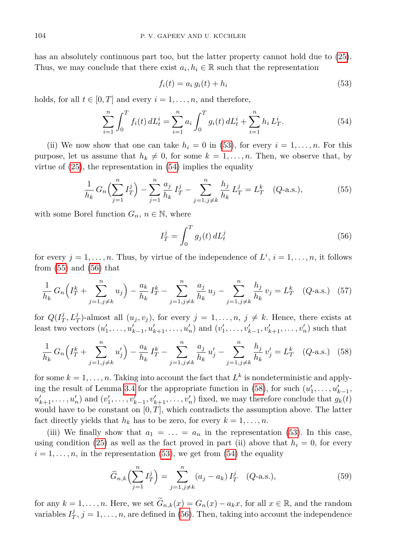has an absolutely continuous part too, but the latter property cannot hold due to [\(25\)](#page-5-4). Thus, we may conclude that there exist  $a_i, h_i \in \mathbb{R}$  such that the representation

<span id="page-11-1"></span><span id="page-11-0"></span>
$$
f_i(t) = a_i g_i(t) + h_i \tag{53}
$$

holds, for all  $t \in [0, T]$  and every  $i = 1, \ldots, n$ , and therefore,

$$
\sum_{i=1}^{n} \int_{0}^{T} f_{i}(t) dL_{t}^{i} = \sum_{i=1}^{n} a_{i} \int_{0}^{T} g_{i}(t) dL_{t}^{i} + \sum_{i=1}^{n} h_{i} L_{T}^{i}.
$$
 (54)

(ii) We now show that one can take  $h_i = 0$  in [\(53\)](#page-11-0), for every  $i = 1, \ldots, n$ . For this purpose, let us assume that  $h_k \neq 0$ , for some  $k = 1, \ldots, n$ . Then, we observe that, by virtue of [\(25\)](#page-5-4), the representation in [\(54\)](#page-11-1) implies the equality

$$
\frac{1}{h_k} G_n \left( \sum_{j=1}^n I_T^j \right) - \sum_{j=1}^n \frac{a_j}{h_k} I_T^j - \sum_{j=1, j \neq k}^n \frac{h_j}{h_k} L_T^j = L_T^k \quad (Q\text{-a.s.}),\tag{55}
$$

with some Borel function  $G_n$ ,  $n \in \mathbb{N}$ , where

<span id="page-11-4"></span><span id="page-11-3"></span><span id="page-11-2"></span>
$$
I_T^j = \int_0^T g_j(t) dL_t^j \tag{56}
$$

for every  $j = 1, \ldots, n$ . Thus, by virtue of the independence of  $L^i$ ,  $i = 1, \ldots, n$ , it follows from  $(55)$  and  $(56)$  that

$$
\frac{1}{h_k} G_n \left( I_T^k + \sum_{j=1, j \neq k}^n u_j \right) - \frac{a_k}{h_k} I_T^k - \sum_{j=1, j \neq k}^n \frac{a_j}{h_k} u_j - \sum_{j=1, j \neq k}^n \frac{h_j}{h_k} v_j = L_T^k \quad (Q\text{-a.s.}) \quad (57)
$$

for  $Q(I_T^j, L_T^j)$ -almost all  $(u_j, v_j)$ , for every  $j = 1, \ldots, n, j \neq k$ . Hence, there exists at least two vectors  $(u'_1, \ldots, u'_{k-1}, u'_{k+1}, \ldots, u'_n)$  and  $(v'_1, \ldots, v'_{k-1}, v'_{k+1}, \ldots, v'_n)$  such that

$$
\frac{1}{h_k} G_n \left( I_T^k + \sum_{j=1, j \neq k}^n u_j' \right) - \frac{a_k}{h_k} I_T^k - \sum_{j=1, j \neq k}^n \frac{a_j}{h_k} u_j' - \sum_{j=1, j \neq k}^n \frac{h_j}{h_k} v_j' = L_T^k \quad (Q\text{-a.s.}) \quad (58)
$$

for some  $k = 1, \ldots, n$ . Taking into account the fact that  $L^k$  is nondeterministic and apply-ing the result of Lemma [3.4](#page-5-5) for the appropriate function in [\(58\)](#page-11-4), for such  $(u'_1, \ldots, u'_{k-1},$  $u'_{k+1}, \ldots, u'_{n}$  and  $(v'_{1}, \ldots, v'_{k-1}, v'_{k+1}, \ldots, v'_{n})$  fixed, we may therefore conclude that  $g_{k}(t)$ would have to be constant on [0*, T*], which contradicts the assumption above. The latter fact directly yields that  $h_k$  has to be zero, for every  $k = 1, \ldots, n$ .

(iii) We finally show that  $a_1 = \ldots = a_n$  in the representation [\(53\)](#page-11-0). In this case, using condition [\(25\)](#page-5-4) as well as the fact proved in part (ii) above that  $h_i = 0$ , for every  $i = 1, \ldots, n$ , in the representation [\(53\)](#page-11-0), we get from [\(54\)](#page-11-1) the equality

<span id="page-11-5"></span>
$$
\widetilde{G}_{n,k}\left(\sum_{j=1}^{n} I_T^j\right) = \sum_{j=1,j\neq k}^{n} (a_j - a_k) I_T^j \quad (Q\text{-a.s.}),
$$
\n(59)

for any  $k = 1, \ldots, n$ . Here, we set  $\widetilde{G}_{n,k}(x) = G_n(x) - a_k x$ , for all  $x \in \mathbb{R}$ , and the random variables  $I_T^j$ ,  $j = 1, \ldots, n$ , are defined in [\(56\)](#page-11-3). Then, taking into account the independence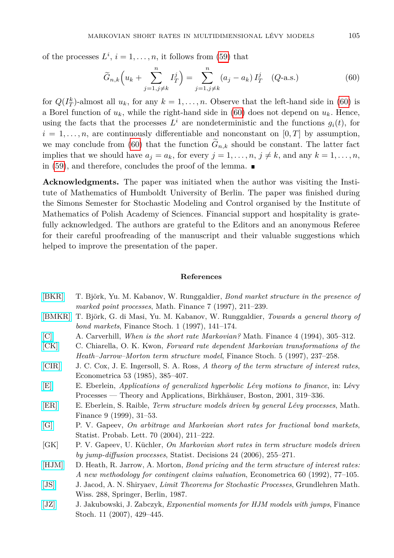of the processes  $L^i$ ,  $i = 1, \ldots, n$ , it follows from [\(59\)](#page-11-5) that

<span id="page-12-11"></span>
$$
\widetilde{G}_{n,k}\left(u_k + \sum_{j=1,j\neq k}^n I_T^j\right) = \sum_{j=1,j\neq k}^n (a_j - a_k) I_T^j \quad (Q\text{-a.s.})
$$
\n(60)

for  $Q(I_T^k)$ -almost all  $u_k$ , for any  $k = 1, \ldots, n$ . Observe that the left-hand side in [\(60\)](#page-12-11) is a Borel function of  $u_k$ , while the right-hand side in [\(60\)](#page-12-11) does not depend on  $u_k$ . Hence, using the facts that the processes  $L^i$  are nondeterministic and the functions  $g_i(t)$ , for  $i = 1, \ldots, n$ , are continuously differentiable and nonconstant on [0, *T*] by assumption, we may conclude from [\(60\)](#page-12-11) that the function  $G_{n,k}$  should be constant. The latter fact implies that we should have  $a_j = a_k$ , for every  $j = 1, \ldots, n$ ,  $j \neq k$ , and any  $k = 1, \ldots, n$ , in [\(59\)](#page-11-5), and therefore, concludes the proof of the lemma.  $\blacksquare$ 

**Acknowledgments.** The paper was initiated when the author was visiting the Institute of Mathematics of Humboldt University of Berlin. The paper was finished during the Simons Semester for Stochastic Modeling and Control organised by the Institute of Mathematics of Polish Academy of Sciences. Financial support and hospitality is gratefully acknowledged. The authors are grateful to the Editors and an anonymous Referee for their careful proofreading of the manuscript and their valuable suggestions which helped to improve the presentation of the paper.

## **References**

- <span id="page-12-2"></span>[\[BKR\]](http://dx.doi.org/10.1111/1467-9965.00031) T. Björk, Yu. M. Kabanov, W. Runggaldier, *Bond market structure in the presence of marked point processes*, Math. Finance 7 (1997), 211–239.
- <span id="page-12-3"></span>[\[BMKR\]](http://dx.doi.org/10.1007/s007800050020) T. Björk, G. di Masi, Yu. M. Kabanov, W. Runggaldier, *Towards a general theory of bond markets*, Finance Stoch. 1 (1997), 141–174.
- <span id="page-12-4"></span>[\[C\]](http://dx.doi.org/10.1111/j.1467-9965.1994.tb00060.x) A. Carverhill, *When is the short rate Markovian?* Math. Finance 4 (1994), 305–312.
- [\[CK\]](http://dx.doi.org/10.1007/PL00013533) C. Chiarella, O. K. Kwon, *Forward rate dependent Markovian transformations of the Heath–Jarrow–Morton term structure model*, Finance Stoch. 5 (1997), 237–258.
- <span id="page-12-1"></span>[\[CIR\]](http://dx.doi.org/10.2307/1911242) J. C. Cox, J. E. Ingersoll, S. A. Ross, *A theory of the term structure of interest rates*, Econometrica 53 (1985), 385–407.
- <span id="page-12-6"></span>[\[E\]](http://dx.doi.org/10.1007/978-1-4612-0197-7_14) E. Eberlein, *Applications of generalized hyperbolic Lévy motions to finance*, in: Lévy Processes — Theory and Applications, Birkhäuser, Boston, 2001, 319–336.
- <span id="page-12-5"></span>[\[ER\]](http://dx.doi.org/10.1111/1467-9965.00062) E. Eberlein, S. Raible, *Term structure models driven by general Lévy processes*, Math. Finance 9 (1999), 31–53.
- <span id="page-12-8"></span>[\[G\]](http://dx.doi.org/10.1016/j.spl.2004.10.008) P. V. Gapeev, *On arbitrage and Markovian short rates for fractional bond markets*, Statist. Probab. Lett. 70 (2004), 211–222.
- <span id="page-12-7"></span>[GK] P. V. Gapeev, U. Küchler, *On Markovian short rates in term structure models driven by jump-diffusion processes*, Statist. Decisions 24 (2006), 255–271.
- <span id="page-12-0"></span>[\[HJM\]](http://dx.doi.org/10.2307/2951677) D. Heath, R. Jarrow, A. Morton, *Bond pricing and the term structure of interest rates: A new methodology for contingent claims valuation*, Econometrica 60 (1992), 77–105.
- <span id="page-12-9"></span>[\[JS\]](http://dx.doi.org/10.1007/978-3-662-02514-7) J. Jacod, A. N. Shiryaev, *Limit Theorems for Stochastic Processes*, Grundlehren Math. Wiss. 288, Springer, Berlin, 1987.
- <span id="page-12-10"></span>[\[JZ\]](http://dx.doi.org/10.1007/s00780-007-0040-x) J. Jakubowski, J. Zabczyk, *Exponential moments for HJM models with jumps*, Finance Stoch. 11 (2007), 429–445.